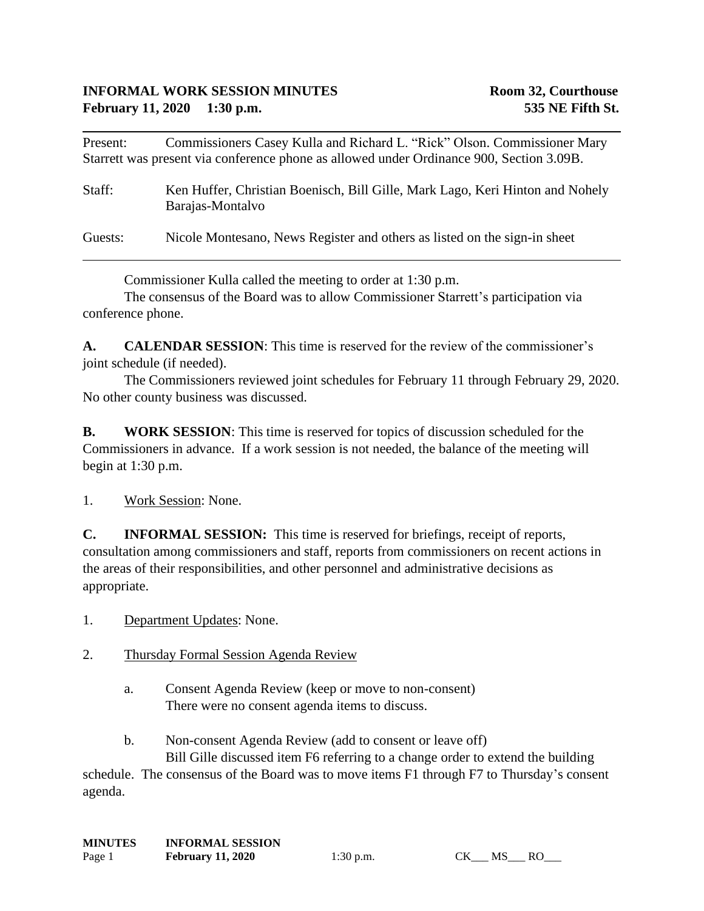Present: Commissioners Casey Kulla and Richard L. "Rick" Olson. Commissioner Mary Starrett was present via conference phone as allowed under Ordinance 900, Section 3.09B.

Staff: Ken Huffer, Christian Boenisch, Bill Gille, Mark Lago, Keri Hinton and Nohely Barajas-Montalvo

Guests: Nicole Montesano, News Register and others as listed on the sign-in sheet

Commissioner Kulla called the meeting to order at 1:30 p.m.

The consensus of the Board was to allow Commissioner Starrett's participation via conference phone.

**A. CALENDAR SESSION**: This time is reserved for the review of the commissioner's joint schedule (if needed).

The Commissioners reviewed joint schedules for February 11 through February 29, 2020. No other county business was discussed.

**B. WORK SESSION**: This time is reserved for topics of discussion scheduled for the Commissioners in advance. If a work session is not needed, the balance of the meeting will begin at 1:30 p.m.

1. Work Session: None.

**C. INFORMAL SESSION:** This time is reserved for briefings, receipt of reports, consultation among commissioners and staff, reports from commissioners on recent actions in the areas of their responsibilities, and other personnel and administrative decisions as appropriate.

1. Department Updates: None.

## 2. Thursday Formal Session Agenda Review

- a. Consent Agenda Review (keep or move to non-consent) There were no consent agenda items to discuss.
- b. Non-consent Agenda Review (add to consent or leave off) Bill Gille discussed item F6 referring to a change order to extend the building

schedule. The consensus of the Board was to move items F1 through F7 to Thursday's consent agenda.